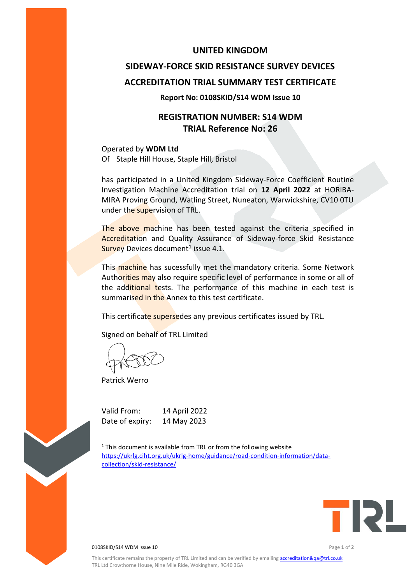### **UNITED KINGDOM**

# **SIDEWAY-FORCE SKID RESISTANCE SURVEY DEVICES ACCREDITATION TRIAL SUMMARY TEST CERTIFICATE**

#### **Report No: 0108SKID/S14 WDM Issue 10**

# **REGISTRATION NUMBER: S14 WDM TRIAL Reference No: 26**

Operated by **WDM Ltd** Of Staple Hill House, Staple Hill, Bristol

has participated in a United Kingdom Sideway-Force Coefficient Routine Investigation Machine Accreditation trial on **12 April 2022** at HORIBA-MIRA Proving Ground, Watling Street, Nuneaton, Warwickshire, CV10 0TU under the supervision of TRL.

The above machine has been tested against the criteria specified in Accreditation and Quality Assurance of Sideway-force Skid Resistance Survey Devices document<sup>1</sup> issue 4.1.

This machine has sucessfully met the mandatory criteria. Some Network Authorities may also require specific level of performance in some or all of the additional tests. The performance of this machine in each test is summarised in the Annex to this test certificate.

This certificate supersedes any previous certificates issued by TRL.

Signed on behalf of TRL Limited

Patrick Werro

Valid From: 14 April 2022 Date of expiry: 14 May 2023

 $1$ <sup>1</sup> This document is available from TRL or from the following website [https://ukrlg.ciht.org.uk/ukrlg-home/guidance/road-condition-information/data](https://ukrlg.ciht.org.uk/ukrlg-home/guidance/road-condition-information/data-collection/skid-resistance/)[collection/skid-resistance/](https://ukrlg.ciht.org.uk/ukrlg-home/guidance/road-condition-information/data-collection/skid-resistance/)



0108SKID/S14 WDM Issue 10 Page **1** of **2**